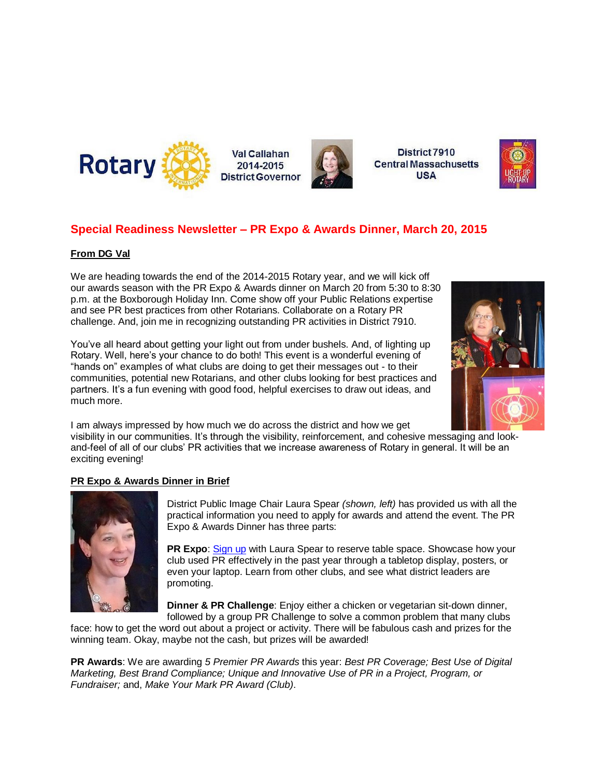

Val Callahan 2014-2015 **District Governor** 



District 7910 **Central Massachusetts USA** 



### **Special Readiness Newsletter – PR Expo & Awards Dinner, March 20, 2015**

#### **From DG Val**

We are heading towards the end of the 2014-2015 Rotary year, and we will kick off our awards season with the PR Expo & Awards dinner on March 20 from 5:30 to 8:30 p.m. at the Boxborough Holiday Inn. Come show off your Public Relations expertise and see PR best practices from other Rotarians. Collaborate on a Rotary PR challenge. And, join me in recognizing outstanding PR activities in District 7910.

You've all heard about getting your light out from under bushels. And, of lighting up Rotary. Well, here's your chance to do both! This event is a wonderful evening of "hands on" examples of what clubs are doing to get their messages out - to their communities, potential new Rotarians, and other clubs looking for best practices and partners. It's a fun evening with good food, helpful exercises to draw out ideas, and much more.



I am always impressed by how much we do across the district and how we get

visibility in our communities. It's through the visibility, reinforcement, and cohesive messaging and lookand-feel of all of our clubs' PR activities that we increase awareness of Rotary in general. It will be an exciting evening!

#### **PR Expo & Awards Dinner in Brief**



District Public Image Chair Laura Spear *(shown, left)* has provided us with all the practical information you need to apply for awards and attend the event. The PR Expo & Awards Dinner has three parts:

**PR Expo**: [Sign up](mailto:laura@spear.net) with Laura Spear to reserve table space. Showcase how your club used PR effectively in the past year through a tabletop display, posters, or even your laptop. Learn from other clubs, and see what district leaders are promoting.

**Dinner & PR Challenge**: Enjoy either a chicken or vegetarian sit-down dinner, followed by a group PR Challenge to solve a common problem that many clubs

face: how to get the word out about a project or activity. There will be fabulous cash and prizes for the winning team. Okay, maybe not the cash, but prizes will be awarded!

**PR Awards**: We are awarding *5 Premier PR Awards* this year: *Best PR Coverage; Best Use of Digital Marketing, Best Brand Compliance; Unique and Innovative Use of PR in a Project, Program, or Fundraiser;* and, *Make Your Mark PR Award (Club)*.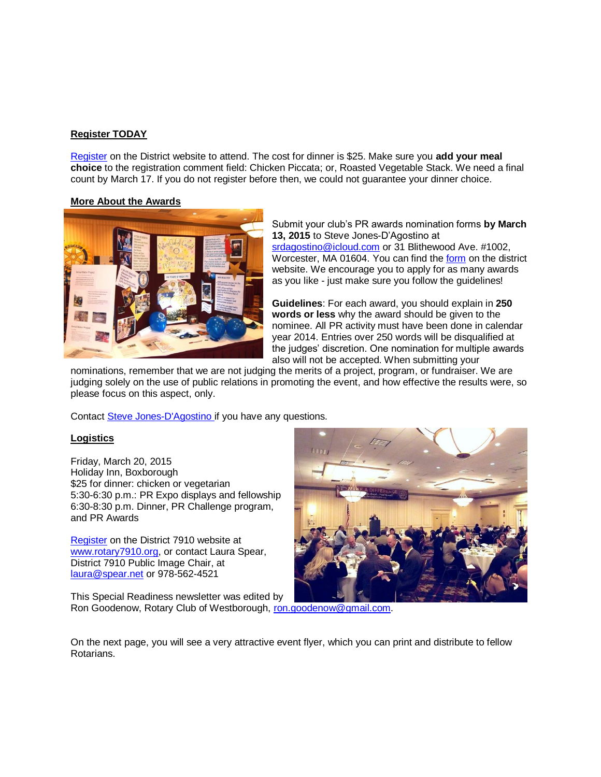#### **Register TODAY**

[Register](http://www.rotary7910.org/Event/4108b610-7ad7-470b-a126-f2c7046adb69) on the District website to attend. The cost for dinner is \$25. Make sure you **add your meal choice** to the registration comment field: Chicken Piccata; or, Roasted Vegetable Stack. We need a final count by March 17. If you do not register before then, we could not guarantee your dinner choice.

#### **More About the Awards**



Submit your club's PR awards nomination forms **by March 13, 2015** to Steve Jones-D'Agostino at [srdagostino@icloud.com](mailto:srdagostino@icloud.com) or 31 Blithewood Ave. #1002, Worcester, MA 01604. You can find th[e form](http://clubrunner.blob.core.windows.net/00000050053/en-ca/files/homepage/2015-pr-awards/2015-02-03-15-AWARD-NOMINATIONS.docx) on the district website. We encourage you to apply for as many awards as you like - just make sure you follow the guidelines!

**Guidelines**: For each award, you should explain in **250 words or less** why the award should be given to the nominee. All PR activity must have been done in calendar year 2014. Entries over 250 words will be disqualified at the judges' discretion. One nomination for multiple awards also will not be accepted. When submitting your

nominations, remember that we are not judging the merits of a project, program, or fundraiser. We are judging solely on the use of public relations in promoting the event, and how effective the results were, so please focus on this aspect, only.

Contact [Steve Jones-D'Agostino](http://mailto:srdagostino@icloud.com/) if you have any questions.

#### **Logistics**

Friday, March 20, 2015 Holiday Inn, Boxborough \$25 for dinner: chicken or vegetarian 5:30-6:30 p.m.: PR Expo displays and fellowship 6:30-8:30 p.m. Dinner, PR Challenge program, and PR Awards

[Register](http://www.rotary7910.org/Event/4108b610-7ad7-470b-a126-f2c7046adb69) on the District 7910 website at [www.rotary7910.org,](http://www.rotary7910.org/) or contact Laura Spear, District 7910 Public Image Chair, at [laura@spear.net](mailto:laura@spear.net) or 978-562-4521



This Special Readiness newsletter was edited by Ron Goodenow, Rotary Club of Westborough, [ron.goodenow@gmail.com.](mailto:ron.goodenow@gmail.com)

On the next page, you will see a very attractive event flyer, which you can print and distribute to fellow Rotarians.